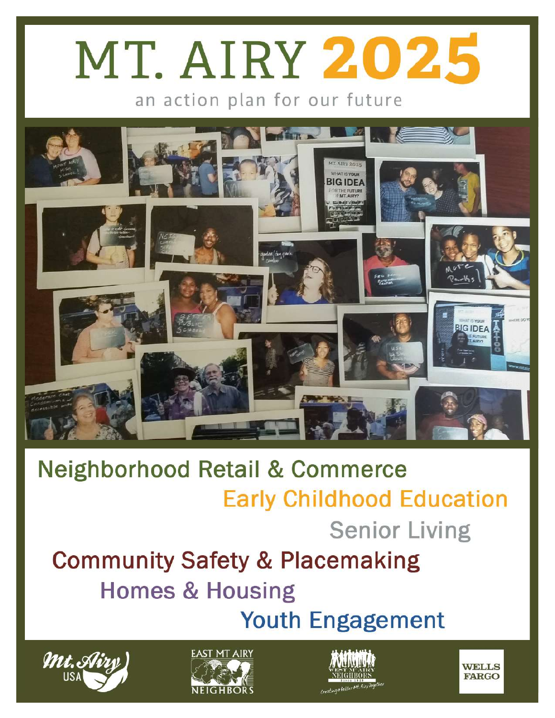# MT. AIRY 2025

an action plan for our future



#### **Neighborhood Retail & Commerce Early Childhood Education Senior Living Community Safety & Placemaking Homes & Housing**









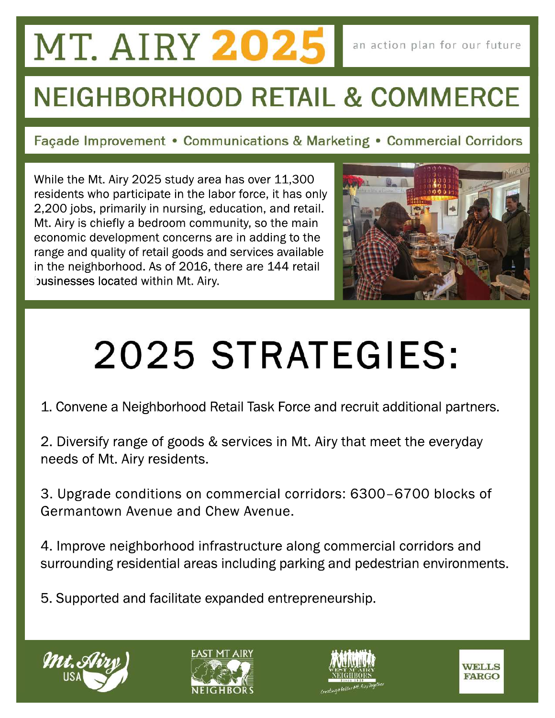#### **MT. AIRY 2025**

#### **NEIGHBORHOOD RETAIL & COMMERCE**

Façade Improvement • Communications & Marketing • Commercial Corridors

While the Mt. Airy 2025 study area has over 11,300 residents who participate in the labor force, it has only 2,200 jobs, primarily in nursing, education, and retail. Mt. Airy is chiefly a bedroom community, so the main economic development concerns are in adding to the range and quality of retail goods and services available in the neighborhood. As of 2016, there are 144 retail businesses located within Mt. Airy.



### 2025 STRATEGIES:

1. Convene a Neighborhood Retail Task Force and recruit additional partners.

2. Diversify range of goods & services in Mt. Airy that meet the everyday needs of Mt. Airy residents.

3. Upgrade conditions on commercial corridors: 6300–6700 blocks of Germantown Avenue and Chew Avenue.

4. Improve neighborhood infrastructure along commercial corridors and surrounding residential areas including parking and pedestrian environments.

5. Supported and facilitate expanded entrepreneurship.







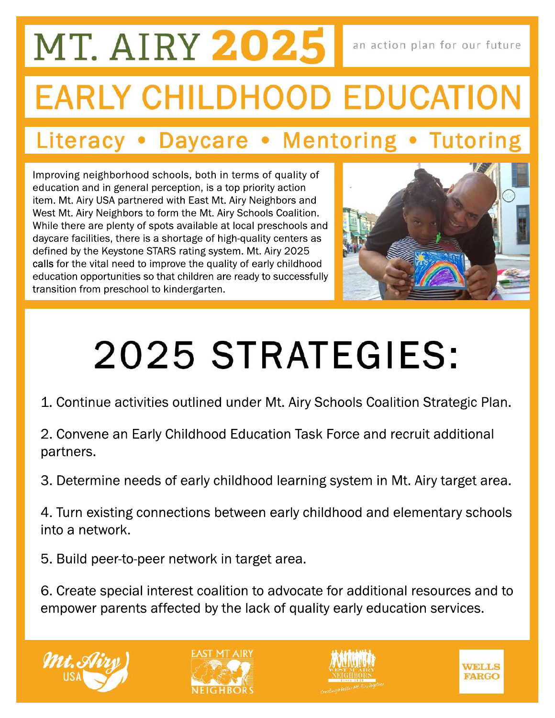### MT. AIRY 2025 an action plan for our future **EARLY CHILDHOOD EDUCATION**

#### Literacy • Daycare • Mentoring • Tutoring

Improving neighborhood schools, both in terms of quality of education and in general perception, is a top priority action item. Mt. Airy USA partnered with East Mt. Airy Neighbors and West Mt. Airy Neighbors to form the Mt. Airy Schools Coalition. While there are plenty of spots available at local preschools and daycare facilities, there is a shortage of high-quality centers as defined by the Keystone STARS rating system. Mt. Airy 2025 calls for the vital need to improve the quality of early childhood education opportunities so that children are ready to successfully transition from preschool to kindergarten.



## 2025 STRATEGIES:

- 1. Continue activities outlined under Mt. Airy Schools Coalition Strategic Plan.
- 2. Convene an Early Childhood Education Task Force and recruit additional partners.
- 3. Determine needs of early childhood learning system in Mt. Airy target area.
- 4. Turn existing connections between early childhood and elementary schools into a network.
- 5. Build peer-to-peer network in target area.
- 6. Create special interest coalition to advocate for additional resources and to empower parents affected by the lack of quality early education services.







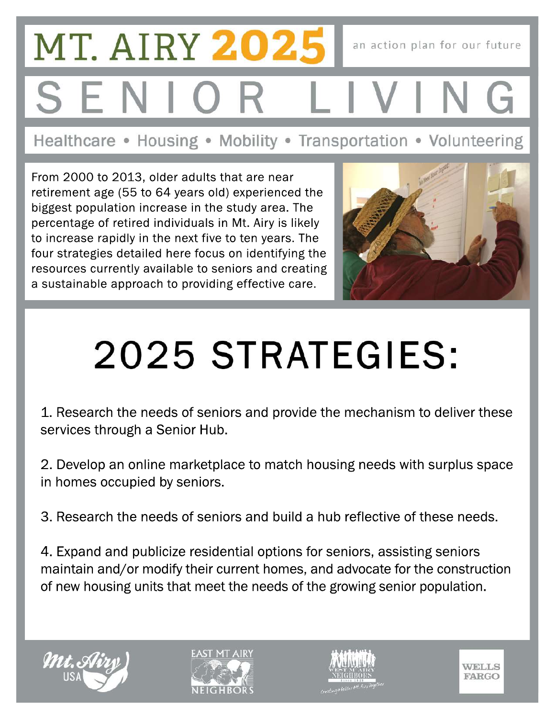## **MT. AIRY 2025** an action plan for our future

Healthcare • Housing • Mobility • Transportation • Volunteering

From 2000 to 2013, older adults that are near retirement age (55 to 64 years old) experienced the biggest population increase in the study area. The percentage of retired individuals in Mt. Airy is likely to increase rapidly in the next five to ten years. The four strategies detailed here focus on identifying the resources currently available to seniors and creating a sustainable approach to providing effective care.



## 2025 STRATEGIES:

1. Research the needs of seniors and provide the mechanism to deliver these services through a Senior Hub.

2. Develop an online marketplace to match housing needs with surplus space in homes occupied by seniors.

3. Research the needs of seniors and build a hub reflective of these needs.

4. Expand and publicize residential options for seniors, assisting seniors maintain and/or modify their current homes, and advocate for the construction of new housing units that meet the needs of the growing senior population.







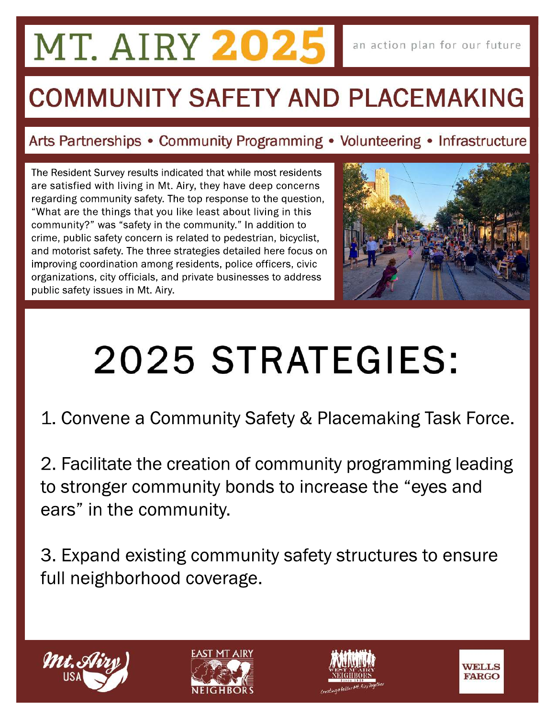### **MT. AIRY 2025**

#### **COMMUNITY SAFETY AND PLACEMAKING**

#### Arts Partnerships • Community Programming • Volunteering • Infrastructure

The Resident Survey results indicated that while most residents are satisfied with living in Mt. Airy, they have deep concerns regarding community safety. The top response to the question, "What are the things that you like least about living in this community?" was "safety in the community." In addition to crime, public safety concern is related to pedestrian, bicyclist, and motorist safety. The three strategies detailed here focus on improving coordination among residents, police officers, civic organizations, city officials, and private businesses to address public safety issues in Mt. Airy.



### 2025 STRATEGIES:

1. Convene a Community Safety & Placemaking Task Force.

2. Facilitate the creation of community programming leading to stronger community bonds to increase the "eyes and ears" in the community.

3. Expand existing community safety structures to ensure full neighborhood coverage.







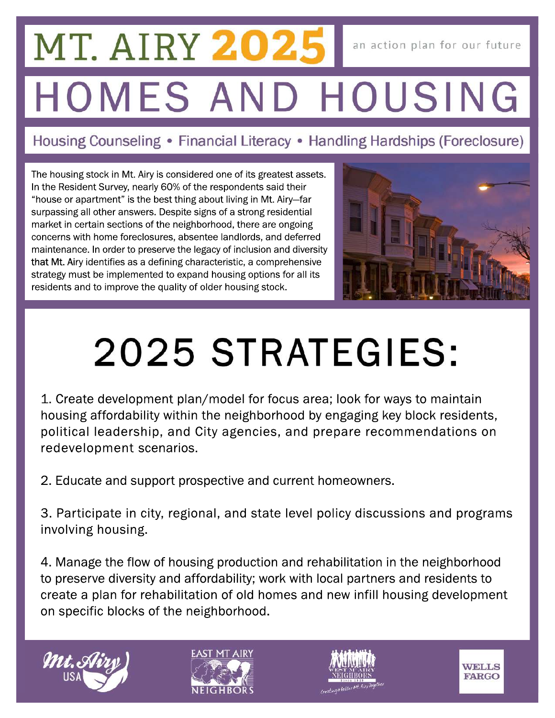#### **MT. AIRY 202.** an action plan for our future HOMES AND HOUSING

#### Housing Counseling • Financial Literacy • Handling Hardships (Foreclosure)

The housing stock in Mt. Airy is considered one of its greatest assets. In the Resident Survey, nearly 60% of the respondents said their "house or apartment" is the best thing about living in Mt. Airy-far surpassing all other answers. Despite signs of a strong residential market in certain sections of the neighborhood, there are ongoing concerns with home foreclosures, absentee landlords, and deferred maintenance. In order to preserve the legacy of inclusion and diversity that Mt. Airy identifies as a defining characteristic, a comprehensive strategy must be implemented to expand housing options for all its residents and to improve the quality of older housing stock.



### 2025 STRATEGIES:

1. Create development plan/model for focus area; look for ways to maintain housing affordability within the neighborhood by engaging key block residents, political leadership, and City agencies, and prepare recommendations on redevelopment scenarios.

2. Educate and support prospective and current homeowners.

3. Participate in city, regional, and state level policy discussions and programs involving housing.

4. Manage the flow of housing production and rehabilitation in the neighborhood to preserve diversity and affordability; work with local partners and residents to create a plan for rehabilitation of old homes and new infill housing development on specific blocks of the neighborhood.